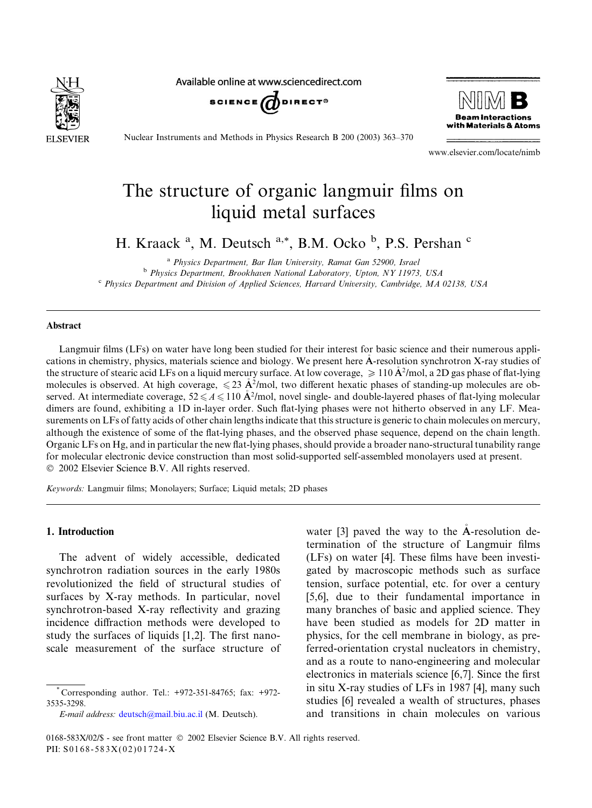

Available online at www.sciencedirect.com





Nuclear Instruments and Methods in Physics Research B 200 (2003) 363–370

www.elsevier.com/locate/nimb

# The structure of organic langmuir films on liquid metal surfaces

H. Kraack<sup>a</sup>, M. Deutsch<sup>a,\*</sup>, B.M. Ocko<sup>b</sup>, P.S. Pershan<sup>c</sup>

<sup>a</sup> Physics Department, Bar Ilan University, Ramat Gan 52900, Israel <sup>b</sup> Physics Department, Brookhaven National Laboratory, Upton, NY11973, USA <sup>c</sup> Physics Department and Division of Applied Sciences, Harvard University, Cambridge, MA 02138, USA

### Abstract

Langmuir films (LFs) on water have long been studied for their interest for basic science and their numerous applications in chemistry, physics, materials science and biology. We present here A-resolution synchrotron X-ray studies of the structure of stearic acid LFs on a liquid mercury surface. At low coverage,  $\geq 110 \text{ Å}^2/\text{mol}$ , a 2D gas phase of flat-lying molecules is observed. At high coverage,  $\leq 23$  A<sup>2</sup>/mol, two different hexatic phases of standing-up molecules are observed. At intermediate coverage,  $52 \leq A \leq 110$   $\AA^2$ /mol, novel single- and double-layered phases of flat-lying molecular dimers are found, exhibiting a 1D in-layer order. Such flat-lying phases were not hitherto observed in any LF. Measurements on LFs of fatty acids of other chain lengths indicate that this structure is generic to chain molecules on mercury, although the existence of some of the flat-lying phases, and the observed phase sequence, depend on the chain length. Organic LFs on Hg, and in particular the new flat-lying phases, should provide a broader nano-structural tunability range for molecular electronic device construction than most solid-supported self-assembled monolayers used at present. 2002 Elsevier Science B.V. All rights reserved.

Keywords: Langmuir films; Monolayers; Surface; Liquid metals; 2D phases

## 1. Introduction

The advent of widely accessible, dedicated synchrotron radiation sources in the early 1980s revolutionized the field of structural studies of surfaces by X-ray methods. In particular, novel synchrotron-based X-ray reflectivity and grazing incidence diffraction methods were developed to study the surfaces of liquids [1,2]. The first nanoscale measurement of the surface structure of

E-mail address: [deutsch@mail.biu.ac.il](mail to: deutsch@mail.biu.ac.il) (M. Deutsch).

water [3] paved the way to the A-resolution de termination of the structure of Langmuir films (LFs) on water [4]. These films have been investigated by macroscopic methods such as surface tension, surface potential, etc. for over a century [5,6], due to their fundamental importance in many branches of basic and applied science. They have been studied as models for 2D matter in physics, for the cell membrane in biology, as preferred-orientation crystal nucleators in chemistry, and as a route to nano-engineering and molecular electronics in materials science [6,7]. Since the first in situ X-ray studies of LFs in 1987 [4], many such studies [6] revealed a wealth of structures, phases and transitions in chain molecules on various

<sup>\*</sup> Corresponding author. Tel.: +972-351-84765; fax: +972- 3535-3298.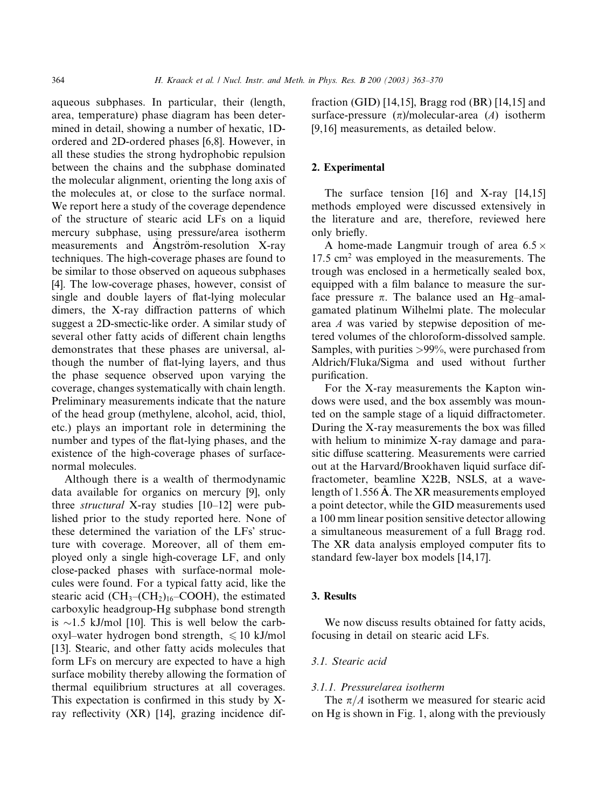aqueous subphases. In particular, their (length, area, temperature) phase diagram has been determined in detail, showing a number of hexatic, 1Dordered and 2D-ordered phases [6,8]. However, in all these studies the strong hydrophobic repulsion between the chains and the subphase dominated the molecular alignment, orienting the long axis of the molecules at, or close to the surface normal. We report here a study of the coverage dependence of the structure of stearic acid LFs on a liquid mercury subphase, using pressure/area isotherm measurements and Angström-resolution  $X-ray$ techniques. The high-coverage phases are found to be similar to those observed on aqueous subphases [4]. The low-coverage phases, however, consist of single and double layers of flat-lying molecular dimers, the X-ray diffraction patterns of which suggest a 2D-smectic-like order. A similar study of several other fatty acids of different chain lengths demonstrates that these phases are universal, although the number of flat-lying layers, and thus the phase sequence observed upon varying the coverage, changes systematically with chain length. Preliminary measurements indicate that the nature of the head group (methylene, alcohol, acid, thiol, etc.) plays an important role in determining the number and types of the flat-lying phases, and the existence of the high-coverage phases of surfacenormal molecules.

Although there is a wealth of thermodynamic data available for organics on mercury [9], only three structural X-ray studies [10–12] were published prior to the study reported here. None of these determined the variation of the LFs' structure with coverage. Moreover, all of them employed only a single high-coverage LF, and only close-packed phases with surface-normal molecules were found. For a typical fatty acid, like the stearic acid  $(CH_3-(CH_2)_{16}-COOH)$ , the estimated carboxylic headgroup-Hg subphase bond strength is  $\sim$ 1.5 kJ/mol [10]. This is well below the carboxyl–water hydrogen bond strength,  $\leq 10$  kJ/mol [13]. Stearic, and other fatty acids molecules that form LFs on mercury are expected to have a high surface mobility thereby allowing the formation of thermal equilibrium structures at all coverages. This expectation is confirmed in this study by Xray reflectivity (XR) [14], grazing incidence diffraction (GID) [14,15], Bragg rod (BR) [14,15] and surface-pressure  $(\pi)$ /molecular-area (A) isotherm [9,16] measurements, as detailed below.

# 2. Experimental

The surface tension [16] and X-ray [14,15] methods employed were discussed extensively in the literature and are, therefore, reviewed here only briefly.

A home-made Langmuir trough of area 6.5  $\times$ 17.5 cm<sup>2</sup> was employed in the measurements. The trough was enclosed in a hermetically sealed box, equipped with a film balance to measure the surface pressure  $\pi$ . The balance used an Hg–amalgamated platinum Wilhelmi plate. The molecular area A was varied by stepwise deposition of metered volumes of the chloroform-dissolved sample. Samples, with purities >99%, were purchased from Aldrich/Fluka/Sigma and used without further purification.

For the X-ray measurements the Kapton windows were used, and the box assembly was mounted on the sample stage of a liquid diffractometer. During the X-ray measurements the box was filled with helium to minimize X-ray damage and parasitic diffuse scattering. Measurements were carried out at the Harvard/Brookhaven liquid surface diffractometer, beamline X22B, NSLS, at a wavelength of 1.556 A. The XR measurements employed a point detector, while the GID measurements used a 100 mm linear position sensitive detector allowing a simultaneous measurement of a full Bragg rod. The XR data analysis employed computer fits to standard few-layer box models [14,17].

## 3. Results

We now discuss results obtained for fatty acids, focusing in detail on stearic acid LFs.

# 3.1. Stearic acid

## 3.1.1. Pressure/area isotherm

The  $\pi/A$  isotherm we measured for stearic acid on Hg is shown in Fig. 1, along with the previously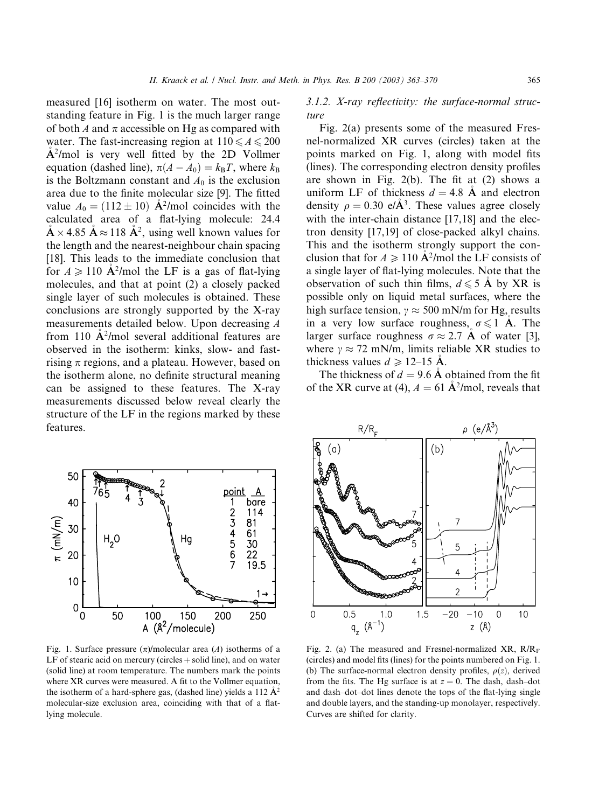measured [16] isotherm on water. The most outstanding feature in Fig. 1 is the much larger range of both A and  $\pi$  accessible on Hg as compared with water. The fast-increasing region at  $110 \leq A \leq 200$  $A<sup>2</sup>/mol$  is very well fitted by the 2D Vollmer equation (dashed line),  $\pi(A - A_0) = k_B T$ , where  $k_B$ is the Boltzmann constant and  $A_0$  is the exclusion area due to the finite molecular size [9]. The fitted value  $A_0 = (112 \pm 10)$   $\AA^2$ /mol coincides with the calculated area of a flat-lying molecule: 24.4  $\mathring{A} \times 4.85 \mathring{A} \approx 118 \mathring{A}^2$ , using well known values for the length and the nearest-neighbour chain spacing [18]. This leads to the immediate conclusion that for  $A \ge 110$   $\mathbf{A}^2/\text{mol}$  the LF is a gas of flat-lying molecules, and that at point (2) a closely packed single layer of such molecules is obtained. These conclusions are strongly supported by the X-ray measurements detailed below. Upon decreasing A from 110  $\mathbf{A}^2$ /mol several additional features are observed in the isotherm: kinks, slow- and fastrising  $\pi$  regions, and a plateau. However, based on the isotherm alone, no definite structural meaning can be assigned to these features. The X-ray measurements discussed below reveal clearly the structure of the LF in the regions marked by these features.



Fig. 1. Surface pressure  $(\pi)$ /molecular area (A) isotherms of a LF of stearic acid on mercury (circles  $+$  solid line), and on water (solid line) at room temperature. The numbers mark the points where XR curves were measured. A fit to the Vollmer equation, the isotherm of a hard-sphere gas, (dashed line) yields a 112  $\mathring{A}^2$ molecular-size exclusion area, coinciding with that of a flatlying molecule.

3.1.2. X-ray reflectivity: the surface-normal structure

Fig. 2(a) presents some of the measured Fresnel-normalized XR curves (circles) taken at the points marked on Fig. 1, along with model fits (lines). The corresponding electron density profiles are shown in Fig. 2(b). The fit at (2) shows a uniform LF of thickness  $d = 4.8$  Å and electron density  $\rho = 0.30 \text{ e}/\text{\AA}^3$ . These values agree closely with the inter-chain distance [17,18] and the electron density [17,19] of close-packed alkyl chains. This and the isotherm strongly support the conclusion that for  $A \ge 110$  A<sup>2</sup>/mol the LF consists of a single layer of flat-lying molecules. Note that the observation of such thin films,  $d \le 5$  A by XR is possible only on liquid metal surfaces, where the high surface tension,  $\gamma \approx 500$  mN/m for Hg, results in a very low surface roughness,  $\sigma \leq 1$  A. The larger surface roughness  $\sigma \approx 2.7$  A of water [3], where  $\gamma \approx 72$  mN/m, limits reliable XR studies to thickness values  $d \ge 12-15$  A.

The thickness of  $d = 9.6$  A obtained from the fit of the XR curve at (4),  $A = 61 \text{ Å}^2/\text{mol}$ , reveals that



Fig. 2. (a) The measured and Fresnel-normalized  $XR$ ,  $R/R$ <sub>F</sub> (circles) and model fits (lines) for the points numbered on Fig. 1. (b) The surface-normal electron density profiles,  $\rho(z)$ , derived from the fits. The Hg surface is at  $z = 0$ . The dash, dash-dot and dash–dot–dot lines denote the tops of the flat-lying single and double layers, and the standing-up monolayer, respectively. Curves are shifted for clarity.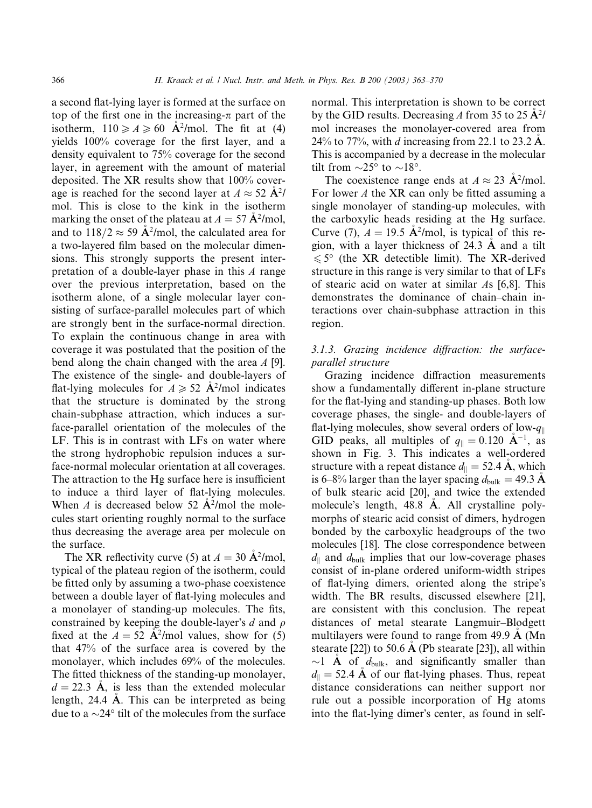a second flat-lying layer is formed at the surface on top of the first one in the increasing- $\pi$  part of the isotherm,  $110 \ge A \ge 60$  A<sup>2</sup>/mol. The fit at (4) yields 100% coverage for the first layer, and a density equivalent to 75% coverage for the second layer, in agreement with the amount of material deposited. The XR results show that 100% coverage is reached for the second layer at  $A \approx 52 \text{ A}^2$ / mol. This is close to the kink in the isotherm marking the onset of the plateau at  $A = 57 \text{ Å}^2/\text{mol}$ , and to  $118/2 \approx 59$  A<sup>2</sup>/mol, the calculated area for a two-layered film based on the molecular dimensions. This strongly supports the present interpretation of a double-layer phase in this A range over the previous interpretation, based on the isotherm alone, of a single molecular layer consisting of surface-parallel molecules part of which are strongly bent in the surface-normal direction. To explain the continuous change in area with coverage it was postulated that the position of the bend along the chain changed with the area A [9]. The existence of the single- and double-layers of flat-lying molecules for  $A \ge 52$  A<sup>2</sup>/mol indicates that the structure is dominated by the strong chain-subphase attraction, which induces a surface-parallel orientation of the molecules of the LF. This is in contrast with LFs on water where the strong hydrophobic repulsion induces a surface-normal molecular orientation at all coverages. The attraction to the Hg surface here is insufficient to induce a third layer of flat-lying molecules. When A is decreased below 52  $\mathbf{A}^2/\text{mol}$  the molecules start orienting roughly normal to the surface thus decreasing the average area per molecule on the surface.

The XR reflectivity curve (5) at  $A = 30 \text{ A}^2/\text{mol}$ , typical of the plateau region of the isotherm, could be fitted only by assuming a two-phase coexistence between a double layer of flat-lying molecules and a monolayer of standing-up molecules. The fits, constrained by keeping the double-layer's d and  $\rho$ fixed at the  $A = 52$  A<sup>2</sup>/mol values, show for (5) that 47% of the surface area is covered by the monolayer, which includes 69% of the molecules. The fitted thickness of the standing-up monolayer,  $d = 22.3$  A, is less than the extended molecular length, 24.4 A. This can be interpreted as being due to a  $\sim$ 24 $\degree$  tilt of the molecules from the surface

normal. This interpretation is shown to be correct by the GID results. Decreasing A from 35 to 25  $\mathbf{A}^2$ / mol increases the monolayer-covered area from 24% to 77%, with d increasing from 22.1 to 23.2 A. This is accompanied by a decrease in the molecular tilt from  $\sim$ 25 $\degree$  to  $\sim$ 18 $\degree$ .

The coexistence range ends at  $A \approx 23$  A<sup>2</sup>/mol. For lower A the XR can only be fitted assuming a single monolayer of standing-up molecules, with the carboxylic heads residing at the Hg surface. Curve (7),  $A = 19.5$   $\mathbf{A}^2/\text{mol}$ , is typical of this region, with a layer thickness of 24.3 A and a tilt  $\leq 5^{\circ}$  (the XR detectible limit). The XR-derived structure in this range is very similar to that of LFs of stearic acid on water at similar As [6,8]. This demonstrates the dominance of chain–chain interactions over chain-subphase attraction in this region.

# 3.1.3. Grazing incidence diffraction: the surfaceparallel structure

Grazing incidence diffraction measurements show a fundamentally different in-plane structure for the flat-lying and standing-up phases. Both low coverage phases, the single- and double-layers of flat-lying molecules, show several orders of low- $q_{\parallel}$ GID peaks, all multiples of  $q_{\parallel} = 0.120 \text{ A}^{-1}$ , as shown in Fig. 3. This indicates a well-ordered structure with a repeat distance  $d_{\parallel} = 52.4 \text{ Å}$ , which is 6–8% larger than the layer spacing  $d_{\text{bulk}} = 49.3 \text{ A}$ of bulk stearic acid [20], and twice the extended molecule's length, 48.8 A. All crystalline polymorphs of stearic acid consist of dimers, hydrogen bonded by the carboxylic headgroups of the two molecules [18]. The close correspondence between  $d_{\parallel}$  and  $d_{\text{bulk}}$  implies that our low-coverage phases consist of in-plane ordered uniform-width stripes of flat-lying dimers, oriented along the stripe's width. The BR results, discussed elsewhere [21], are consistent with this conclusion. The repeat distances of metal stearate Langmuir–Blodgett multilayers were found to range from 49.9 A (Mn stearate  $[22]$ ) to 50.6 A (Pb stearate  $[23]$ ), all within  $\sim$ 1 A of  $d_{\text{bulk}}$ , and significantly smaller than  $d_{\parallel}$  = 52.4 Å of our flat-lying phases. Thus, repeat distance considerations can neither support nor rule out a possible incorporation of Hg atoms into the flat-lying dimer's center, as found in self-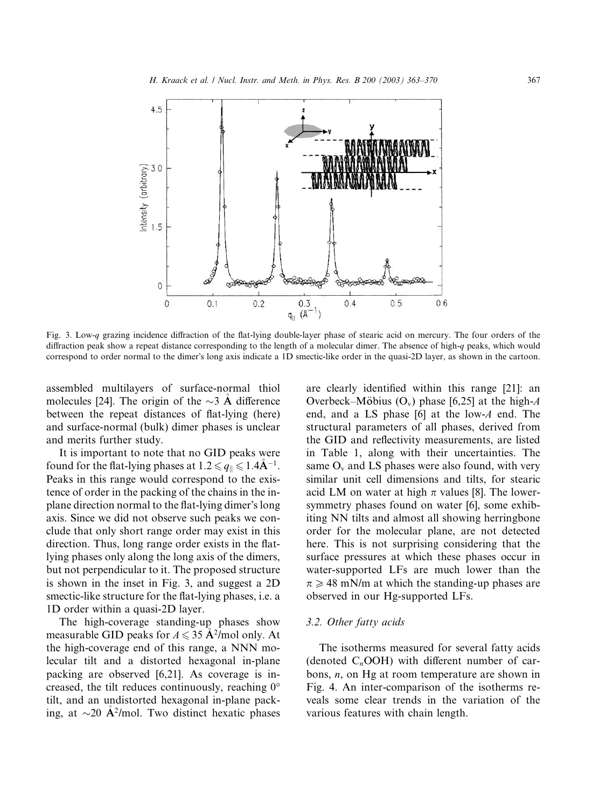

Fig. 3. Low-q grazing incidence diffraction of the flat-lying double-layer phase of stearic acid on mercury. The four orders of the diffraction peak show a repeat distance corresponding to the length of a molecular dimer. The absence of high-q peaks, which would correspond to order normal to the dimer's long axis indicate a 1D smectic-like order in the quasi-2D layer, as shown in the cartoon.

assembled multilayers of surface-normal thiol molecules [24]. The origin of the  $\sim$ 3 A difference between the repeat distances of flat-lying (here) and surface-normal (bulk) dimer phases is unclear and merits further study.

It is important to note that no GID peaks were found for the flat-lying phases at  $1.2 \le q_{\parallel} \le 1.4\text{\AA}^{-1}$ . Peaks in this range would correspond to the existence of order in the packing of the chains in the inplane direction normal to the flat-lying dimer's long axis. Since we did not observe such peaks we conclude that only short range order may exist in this direction. Thus, long range order exists in the flatlying phases only along the long axis of the dimers, but not perpendicular to it. The proposed structure is shown in the inset in Fig. 3, and suggest a 2D smectic-like structure for the flat-lying phases, i.e. a 1D order within a quasi-2D layer.

The high-coverage standing-up phases show measurable GID peaks for  $A \le 35$   $\AA^2$ /mol only. At the high-coverage end of this range, a NNN molecular tilt and a distorted hexagonal in-plane packing are observed [6,21]. As coverage is increased, the tilt reduces continuously, reaching  $0^{\circ}$ tilt, and an undistorted hexagonal in-plane packing, at  $\sim$ 20 A<sup>2</sup>/mol. Two distinct hexatic phases are clearly identified within this range [21]: an Overbeck–Möbius  $(O_v)$  phase [6,25] at the high-A end, and a LS phase  $[6]$  at the low-A end. The structural parameters of all phases, derived from the GID and reflectivity measurements, are listed in Table 1, along with their uncertainties. The same  $O_v$  and LS phases were also found, with very similar unit cell dimensions and tilts, for stearic acid LM on water at high  $\pi$  values [8]. The lowersymmetry phases found on water [6], some exhibiting NN tilts and almost all showing herringbone order for the molecular plane, are not detected here. This is not surprising considering that the surface pressures at which these phases occur in water-supported LFs are much lower than the  $\pi \geq 48$  mN/m at which the standing-up phases are observed in our Hg-supported LFs.

#### 3.2. Other fatty acids

The isotherms measured for several fatty acids (denoted  $C_n$ OOH) with different number of carbons,  $n$ , on Hg at room temperature are shown in Fig. 4. An inter-comparison of the isotherms reveals some clear trends in the variation of the various features with chain length.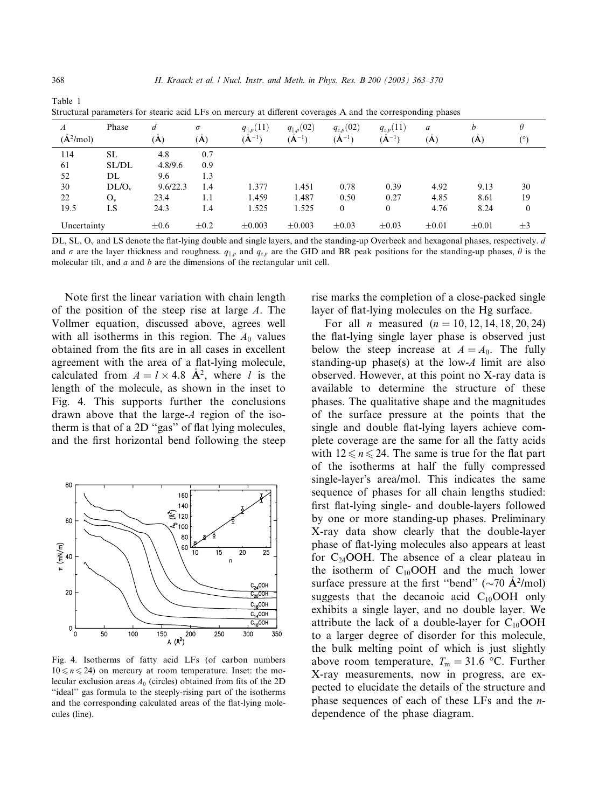| A              | Phase    |           | $\sigma$  | $q_{\parallel,p}(11)$ | $q_{\parallel,p}(02)$ | $q_{z,p}(02)$ | $q_{z,p}(11)$ | a          | h          |              |
|----------------|----------|-----------|-----------|-----------------------|-----------------------|---------------|---------------|------------|------------|--------------|
| $(\AA^2$ /mol) |          | (A)       | (A)       | $(A^{-1})$            | $(A^{-1})$            | $(A^{-1})$    | $(A^{-1})$    | (A)        | (A)        | (°)          |
| 114            | SL       | 4.8       | 0.7       |                       |                       |               |               |            |            |              |
| 61             | SL/DL    | 4.8/9.6   | 0.9       |                       |                       |               |               |            |            |              |
| 52             | DL       | 9.6       | 1.3       |                       |                       |               |               |            |            |              |
| 30             | $DL/O_v$ | 9.6/22.3  | 1.4       | 1.377                 | 1.451                 | 0.78          | 0.39          | 4.92       | 9.13       | 30           |
| 22             | $O_v$    | 23.4      | 1.1       | 1.459                 | 1.487                 | 0.50          | 0.27          | 4.85       | 8.61       | 19           |
| 19.5           | LS       | 24.3      | 1.4       | 1.525                 | 1.525                 | $\theta$      | $\theta$      | 4.76       | 8.24       | $\mathbf{0}$ |
| Uncertainty    |          | $\pm 0.6$ | $\pm 0.2$ | $\pm 0.003$           | $\pm 0.003$           | $\pm 0.03$    | $\pm 0.03$    | $\pm 0.01$ | $\pm 0.01$ | $\pm$ 3      |

Structural parameters for stearic acid LFs on mercury at different coverages A and the corresponding phases

DL, SL, O<sub>v</sub> and LS denote the flat-lying double and single layers, and the standing-up Overbeck and hexagonal phases, respectively. d and  $\sigma$  are the layer thickness and roughness.  $q_{\parallel,p}$  and  $q_{z,p}$  are the GID and BR peak positions for the standing-up phases,  $\theta$  is the molecular tilt, and  $a$  and  $b$  are the dimensions of the rectangular unit cell.

Note first the linear variation with chain length of the position of the steep rise at large A. The Vollmer equation, discussed above, agrees well with all isotherms in this region. The  $A_0$  values obtained from the fits are in all cases in excellent agreement with the area of a flat-lying molecule, calculated from  $A = l \times 4.8$   $\mathring{A}^2$ , where *l* is the length of the molecule, as shown in the inset to Fig. 4. This supports further the conclusions drawn above that the large-A region of the isotherm is that of a 2D ''gas'' of flat lying molecules, and the first horizontal bend following the steep



Fig. 4. Isotherms of fatty acid LFs (of carbon numbers  $10 \le n \le 24$ ) on mercury at room temperature. Inset: the molecular exclusion areas  $A_0$  (circles) obtained from fits of the 2D ''ideal'' gas formula to the steeply-rising part of the isotherms and the corresponding calculated areas of the flat-lying molecules (line).

rise marks the completion of a close-packed single layer of flat-lying molecules on the Hg surface.

For all *n* measured  $(n = 10, 12, 14, 18, 20, 24)$ the flat-lying single layer phase is observed just below the steep increase at  $A = A_0$ . The fully standing-up phase(s) at the low-A limit are also observed. However, at this point no X-ray data is available to determine the structure of these phases. The qualitative shape and the magnitudes of the surface pressure at the points that the single and double flat-lying layers achieve complete coverage are the same for all the fatty acids with  $12 \le n \le 24$ . The same is true for the flat part of the isotherms at half the fully compressed single-layer's area/mol. This indicates the same sequence of phases for all chain lengths studied: first flat-lying single- and double-layers followed by one or more standing-up phases. Preliminary X-ray data show clearly that the double-layer phase of flat-lying molecules also appears at least for  $C_{24}$ OOH. The absence of a clear plateau in the isotherm of  $C_{10}$ OOH and the much lower surface pressure at the first "bend" ( $\sim$ 70  $\rm \AA$ <sup>2</sup>/mol) suggests that the decanoic acid  $C_{10}$ OOH only exhibits a single layer, and no double layer. We attribute the lack of a double-layer for  $C_{10}$ OOH to a larger degree of disorder for this molecule, the bulk melting point of which is just slightly above room temperature,  $T_{\rm m} = 31.6$  °C. Further X-ray measurements, now in progress, are expected to elucidate the details of the structure and phase sequences of each of these LFs and the ndependence of the phase diagram.

Table 1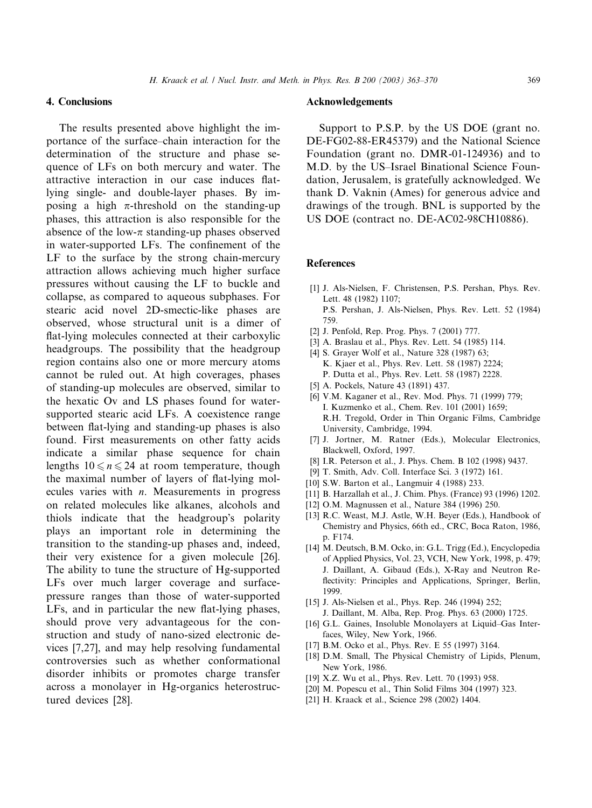#### 4. Conclusions

The results presented above highlight the importance of the surface–chain interaction for the determination of the structure and phase sequence of LFs on both mercury and water. The attractive interaction in our case induces flatlying single- and double-layer phases. By imposing a high  $\pi$ -threshold on the standing-up phases, this attraction is also responsible for the absence of the low- $\pi$  standing-up phases observed in water-supported LFs. The confinement of the LF to the surface by the strong chain-mercury attraction allows achieving much higher surface pressures without causing the LF to buckle and collapse, as compared to aqueous subphases. For stearic acid novel 2D-smectic-like phases are observed, whose structural unit is a dimer of flat-lying molecules connected at their carboxylic headgroups. The possibility that the headgroup region contains also one or more mercury atoms cannot be ruled out. At high coverages, phases of standing-up molecules are observed, similar to the hexatic Ov and LS phases found for watersupported stearic acid LFs. A coexistence range between flat-lying and standing-up phases is also found. First measurements on other fatty acids indicate a similar phase sequence for chain lengths  $10 \le n \le 24$  at room temperature, though the maximal number of layers of flat-lying molecules varies with  $n$ . Measurements in progress on related molecules like alkanes, alcohols and thiols indicate that the headgroup's polarity plays an important role in determining the transition to the standing-up phases and, indeed, their very existence for a given molecule [26]. The ability to tune the structure of Hg-supported LFs over much larger coverage and surfacepressure ranges than those of water-supported LFs, and in particular the new flat-lying phases, should prove very advantageous for the construction and study of nano-sized electronic devices [7,27], and may help resolving fundamental controversies such as whether conformational disorder inhibits or promotes charge transfer across a monolayer in Hg-organics heterostructured devices [28].

#### Acknowledgements

Support to P.S.P. by the US DOE (grant no. DE-FG02-88-ER45379) and the National Science Foundation (grant no. DMR-01-124936) and to M.D. by the US–Israel Binational Science Foundation, Jerusalem, is gratefully acknowledged. We thank D. Vaknin (Ames) for generous advice and drawings of the trough. BNL is supported by the US DOE (contract no. DE-AC02-98CH10886).

#### References

- [1] J. Als-Nielsen, F. Christensen, P.S. Pershan, Phys. Rev. Lett. 48 (1982) 1107; P.S. Pershan, J. Als-Nielsen, Phys. Rev. Lett. 52 (1984) 759.
- [2] J. Penfold, Rep. Prog. Phys. 7 (2001) 777.
- [3] A. Braslau et al., Phys. Rev. Lett. 54 (1985) 114.
- [4] S. Grayer Wolf et al., Nature 328 (1987) 63; K. Kjaer et al., Phys. Rev. Lett. 58 (1987) 2224; P. Dutta et al., Phys. Rev. Lett. 58 (1987) 2228.
- [5] A. Pockels, Nature 43 (1891) 437.
- [6] V.M. Kaganer et al., Rev. Mod. Phys. 71 (1999) 779; I. Kuzmenko et al., Chem. Rev. 101 (2001) 1659; R.H. Tregold, Order in Thin Organic Films, Cambridge University, Cambridge, 1994.
- [7] J. Jortner, M. Ratner (Eds.), Molecular Electronics, Blackwell, Oxford, 1997.
- [8] I.R. Peterson et al., J. Phys. Chem. B 102 (1998) 9437.
- [9] T. Smith, Adv. Coll. Interface Sci. 3 (1972) 161.
- [10] S.W. Barton et al., Langmuir 4 (1988) 233.
- [11] B. Harzallah et al., J. Chim. Phys. (France) 93 (1996) 1202.
- [12] O.M. Magnussen et al., Nature 384 (1996) 250.
- [13] R.C. Weast, M.J. Astle, W.H. Beyer (Eds.), Handbook of Chemistry and Physics, 66th ed., CRC, Boca Raton, 1986, p. F174.
- [14] M. Deutsch, B.M. Ocko, in: G.L. Trigg (Ed.), Encyclopedia of Applied Physics, Vol. 23, VCH, New York, 1998, p. 479; J. Daillant, A. Gibaud (Eds.), X-Ray and Neutron Reflectivity: Principles and Applications, Springer, Berlin, 1999.
- [15] J. Als-Nielsen et al., Phys. Rep. 246 (1994) 252; J. Daillant, M. Alba, Rep. Prog. Phys. 63 (2000) 1725.
- [16] G.L. Gaines, Insoluble Monolayers at Liquid–Gas Interfaces, Wiley, New York, 1966.
- [17] B.M. Ocko et al., Phys. Rev. E 55 (1997) 3164.
- [18] D.M. Small, The Physical Chemistry of Lipids, Plenum, New York, 1986.
- [19] X.Z. Wu et al., Phys. Rev. Lett. 70 (1993) 958.
- [20] M. Popescu et al., Thin Solid Films 304 (1997) 323.
- [21] H. Kraack et al., Science 298 (2002) 1404.